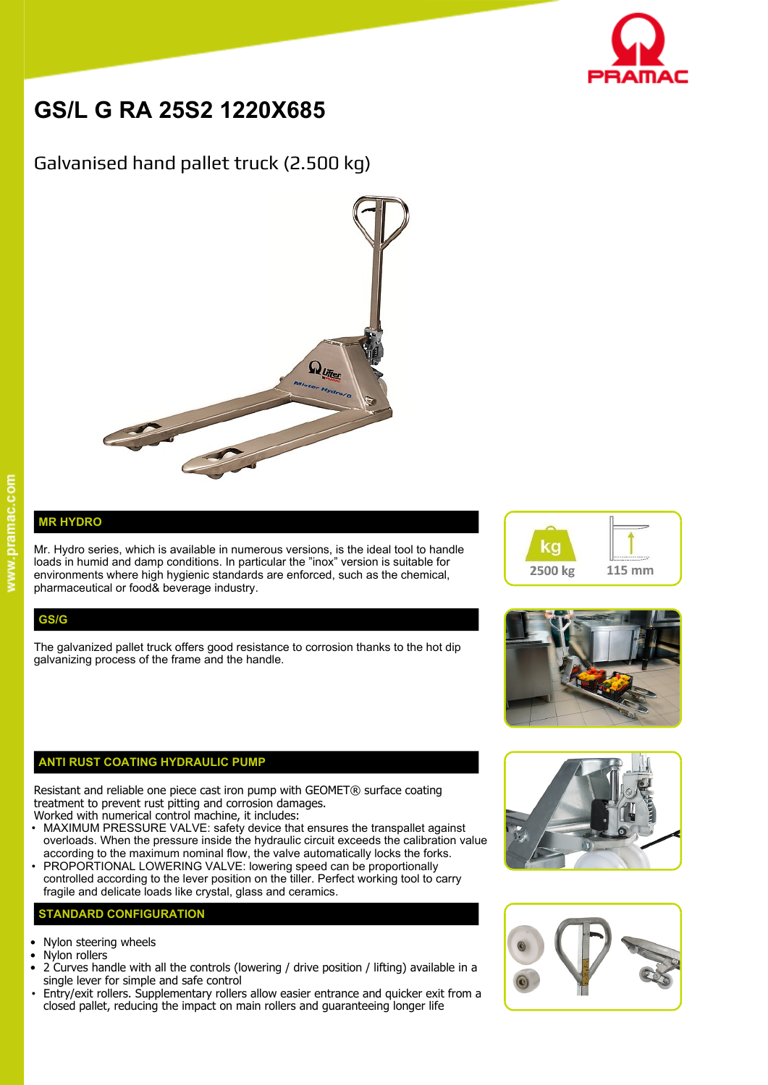

# **GS/L G RA 25S2 1220X685**

# Galvanised hand pallet truck (2.500 kg)



## **MR HYDRO**

Mr. Hydro series, which is available in numerous versions, is the ideal tool to handle  $\blacksquare$ loads in humid and damp conditions. In particular the "inox" version is suitable for environments where high hygienic standards are enforced, such as the chemical, pharmaceutical or food& beverage industry.

### **GS/G**

The galvanized pallet truck offers good resistance to corrosion thanks to the hot dip galvanizing process of the frame and the handle.

#### **ANTI RUST COATING HYDRAULIC PUMP**

Resistant and reliable one piece cast iron pump with GEOMET® surface coating treatment to prevent rust pitting and corrosion damages.

- Worked with numerical control machine, it includes: • MAXIMUM PRESSURE VALVE: safety device that ensures the transpallet against overloads. When the pressure inside the hydraulic circuit exceeds the calibration value according to the maximum nominal flow, the valve automatically locks the forks.
- PROPORTIONAL LOWERING VALVE: lowering speed can be proportionally controlled according to the lever position on the tiller. Perfect working tool to carry fragile and delicate loads like crystal, glass and ceramics.

#### **STANDARD CONFIGURATION**

- Nylon steering wheels
- Nylon rollers
- 2 Curves handle with all the controls (lowering / drive position / lifting) available in a single lever for simple and safe control
- Entry/exit rollers. Supplementary rollers allow easier entrance and quicker exit from a closed pallet, reducing the impact on main rollers and guaranteeing longer life







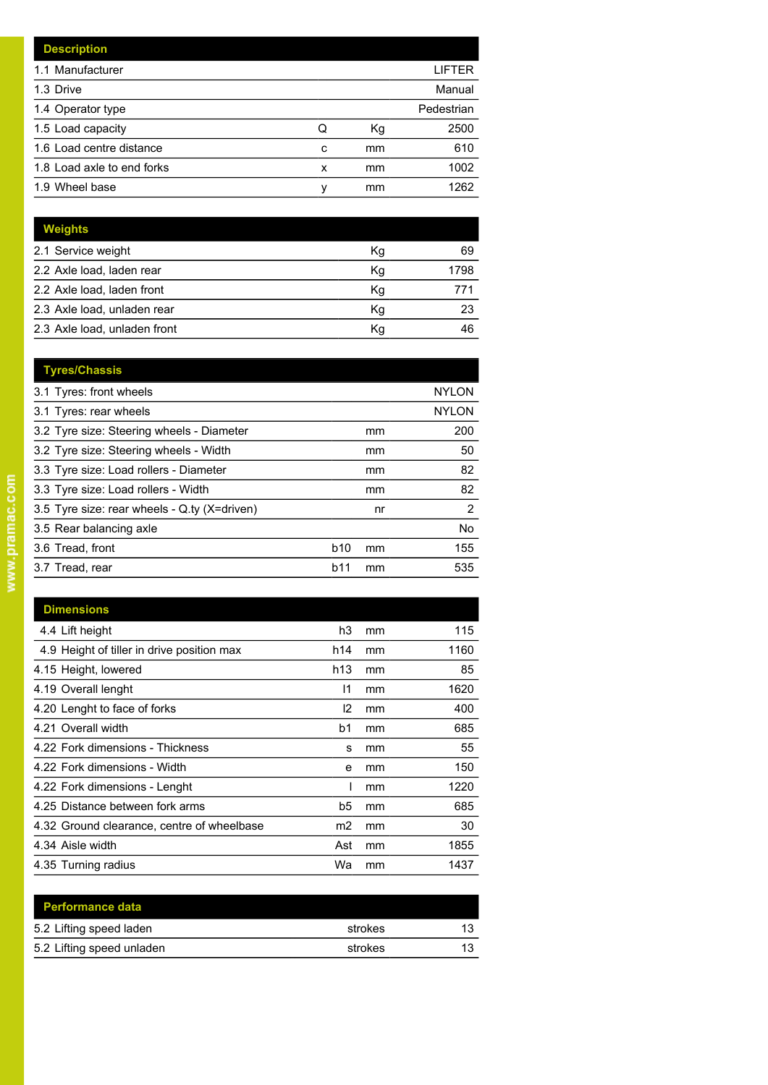| <b>Description</b>         |   |    |            |
|----------------------------|---|----|------------|
| 1.1 Manufacturer           |   |    | LIFTER     |
| 1.3 Drive                  |   |    | Manual     |
| 1.4 Operator type          |   |    | Pedestrian |
| 1.5 Load capacity          | Q | Кg | 2500       |
| 1.6 Load centre distance   | c | mm | 610        |
| 1.8 Load axle to end forks | x | mm | 1002       |
| 1.9 Wheel base             | v | mm | 1262       |

| Weights                      |    |      |
|------------------------------|----|------|
| 2.1 Service weight           | Кg | 69   |
| 2.2 Axle load, laden rear    | Κq | 1798 |
| 2.2 Axle load, laden front   | Κg |      |
| 2.3 Axle load, unladen rear  | Κg | 23   |
| 2.3 Axle load, unladen front | Κq | 46   |

| <b>Tyres/Chassis</b>                         |                 |    |              |
|----------------------------------------------|-----------------|----|--------------|
| 3.1 Tyres: front wheels                      |                 |    | <b>NYLON</b> |
| 3.1 Tyres: rear wheels                       |                 |    | <b>NYLON</b> |
| 3.2 Tyre size: Steering wheels - Diameter    |                 | mm | 200          |
| 3.2 Tyre size: Steering wheels - Width       |                 | mm | 50           |
| 3.3 Tyre size: Load rollers - Diameter       |                 | mm | 82           |
| 3.3 Tyre size: Load rollers - Width          |                 | mm | 82           |
| 3.5 Tyre size: rear wheels - Q.ty (X=driven) |                 | nr | 2            |
| 3.5 Rear balancing axle                      |                 |    | <b>No</b>    |
| 3.6 Tread, front                             | b <sub>10</sub> | mm | 155          |
| 3.7 Tread, rear                              | b11             | mm | 535          |
|                                              |                 |    |              |

| <b>Dimensions</b>                          |                |    |      |
|--------------------------------------------|----------------|----|------|
| 4.4 Lift height                            | h3             | mm | 115  |
| 4.9 Height of tiller in drive position max | h14            | mm | 1160 |
| 4.15 Height, lowered                       | h13            | mm | 85   |
| 4.19 Overall lenght                        | 11             | mm | 1620 |
| 4.20 Lenght to face of forks               | 12             | mm | 400  |
| 4.21 Overall width                         | b1             | mm | 685  |
| 4.22 Fork dimensions - Thickness           | s              | mm | 55   |
| 4.22 Fork dimensions - Width               | e              | mm | 150  |
| 4.22 Fork dimensions - Lenght              |                | mm | 1220 |
| 4.25 Distance between fork arms            | b5             | mm | 685  |
| 4.32 Ground clearance, centre of wheelbase | m <sub>2</sub> | mm | 30   |
| 4.34 Aisle width                           | Ast            | mm | 1855 |
| 4.35 Turning radius                        | Wa             | mm | 1437 |

| <b>Performance data</b>   |         |    |
|---------------------------|---------|----|
| 5.2 Lifting speed laden   | strokes | 13 |
| 5.2 Lifting speed unladen | strokes | 13 |
|                           |         |    |